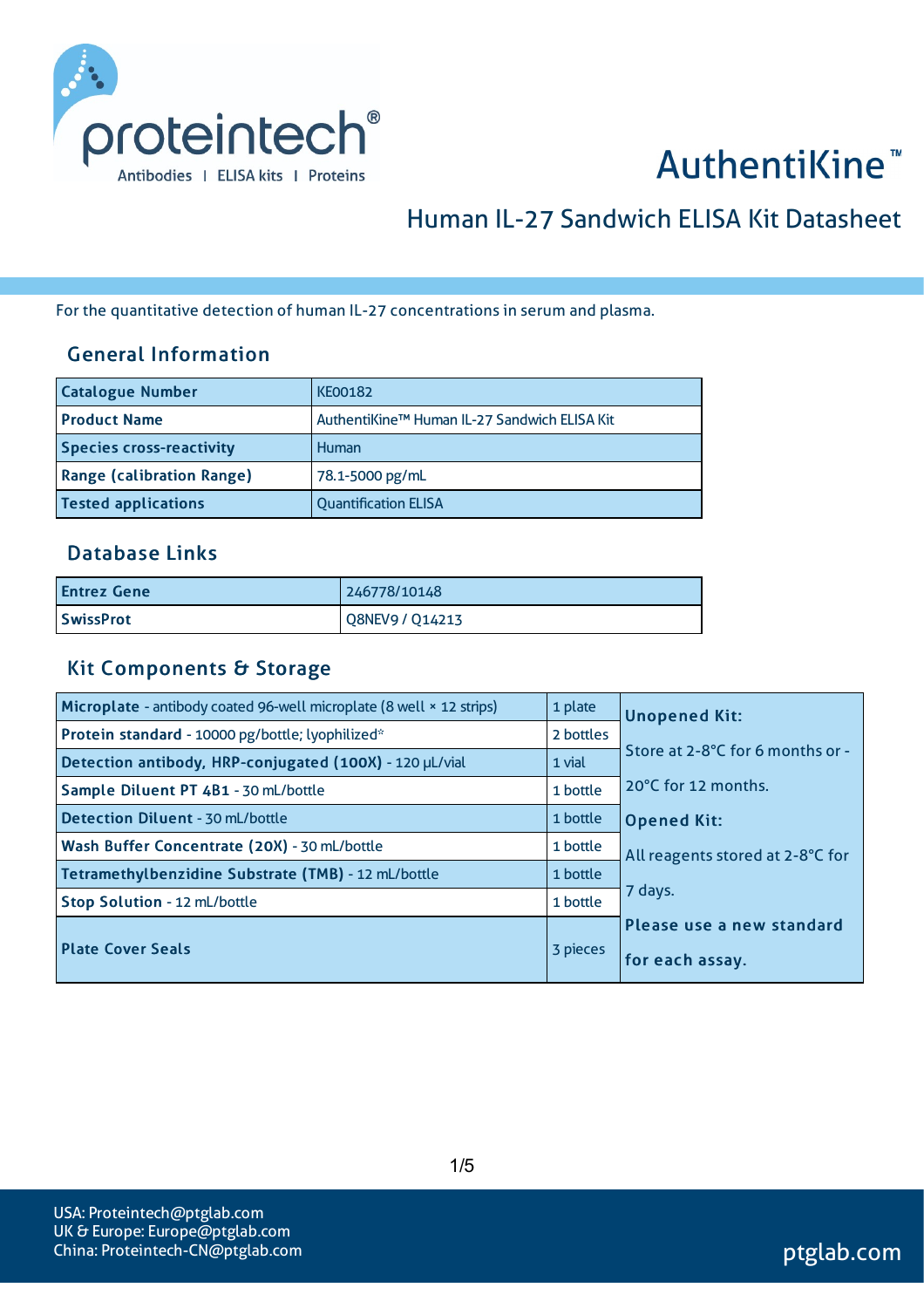

# AuthentiKine<sup>™</sup>

# Human IL-27 Sandwich ELISA Kit Datasheet

For the quantitative detection of human IL-27 concentrations in serum and plasma.

#### General Information

| <b>Catalogue Number</b>          | <b>KE00182</b>                               |
|----------------------------------|----------------------------------------------|
| <b>Product Name</b>              | AuthentiKine™ Human IL-27 Sandwich ELISA Kit |
| <b>Species cross-reactivity</b>  | Human                                        |
| <b>Range (calibration Range)</b> | 78.1-5000 pg/mL                              |
| <b>Tested applications</b>       | <b>Quantification ELISA</b>                  |

#### Database Links

| Entrez Gene      | 246778/10148    |
|------------------|-----------------|
| <b>SwissProt</b> | Q8NEV9 / Q14213 |

#### Kit Components & Storage

| Microplate - antibody coated 96-well microplate (8 well × 12 strips) | 1 plate   | <b>Unopened Kit:</b>             |
|----------------------------------------------------------------------|-----------|----------------------------------|
| Protein standard - 10000 pg/bottle; lyophilized*                     | 2 bottles |                                  |
| Detection antibody, HRP-conjugated (100X) - 120 µL/vial              | 1 vial    | Store at 2-8°C for 6 months or - |
| Sample Diluent PT 4B1 - 30 mL/bottle                                 | 1 bottle  | 20°C for 12 months.              |
| <b>Detection Diluent - 30 mL/bottle</b>                              | 1 bottle  | <b>Opened Kit:</b>               |
| Wash Buffer Concentrate (20X) - 30 mL/bottle                         | 1 bottle  | All reagents stored at 2-8°C for |
| Tetramethylbenzidine Substrate (TMB) - 12 mL/bottle                  | 1 bottle  |                                  |
| Stop Solution - 12 mL/bottle                                         | 1 bottle  | 7 days.                          |
|                                                                      |           | Please use a new standard        |
| <b>Plate Cover Seals</b>                                             | 3 pieces  | for each assay.                  |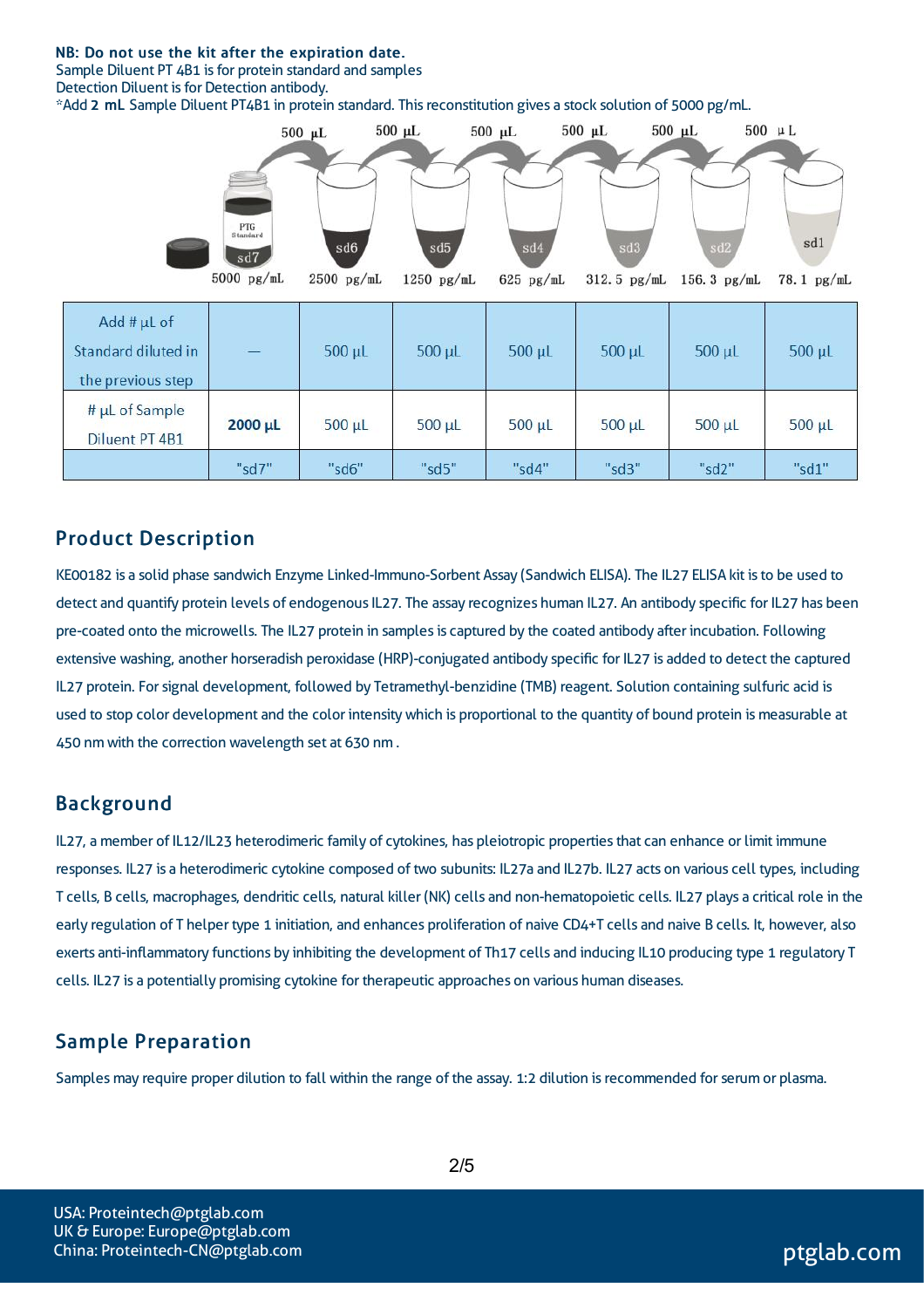#### NB: Do not use the kit after the expiration date.

Sample Diluent PT 4B1 is for protein standard and samples

Detection Diluent is for Detection antibody.

\*Add 2 mL Sample Diluent PT4B1 in protein standard. Thisreconstitution gives a stock solution of 5000 pg/mL.



| Add # $\mu$ L of<br>Standard diluted in<br>the previous step | ЦÚ.     | $500 \mu L$ | $500 \mu L$ | 500 µL      | $500 \mu L$ | $500 \mu L$ | $500 \mu L$ |
|--------------------------------------------------------------|---------|-------------|-------------|-------------|-------------|-------------|-------------|
| $#$ µL of Sample<br>Diluent PT 4B1                           | 2000 µL | $500 \mu L$ | $500 \mu L$ | $500 \mu L$ | $500 \mu L$ | $500 \mu L$ | $500 \mu L$ |
|                                                              | "sd7"   | "sd6"       | "sd5"       | "sd4"       | "sd3"       | "sd2"       | "sd1"       |

#### Product Description

KE00182 is a solid phase sandwich Enzyme Linked-Immuno-Sorbent Assay (Sandwich ELISA). The IL27 ELISA kit isto be used to detect and quantify protein levels of endogenous IL27. The assay recognizes human IL27. An antibody specific for IL27 has been pre-coated onto the microwells. The IL27 protein in samples is captured by the coated antibody after incubation. Following extensive washing, another horseradish peroxidase (HRP)-conjugated antibody specific for IL27 is added to detect the captured IL27 protein. Forsignal development, followed by Tetramethyl-benzidine (TMB) reagent. Solution containing sulfuric acid is used to stop color development and the color intensitywhich is proportional to the quantity of bound protein is measurable at 450 nm with the correction wavelength set at 630 nm .

#### Background

IL27, a member of IL12/IL23 heterodimeric family of cytokines, has pleiotropic propertiesthat can enhance or limit immune responses. IL27 is a heterodimeric cytokine composed of two subunits: IL27a and IL27b. IL27 acts on various cell types, including T cells, B cells, macrophages, dendritic cells, natural killer (NK) cells and non-hematopoietic cells. IL27 plays a critical role in the early regulation of T helper type 1 initiation, and enhances proliferation of naive CD4+T cells and naive B cells. It, however, also exerts anti-inflammatory functions by inhibiting the development of Th17 cells and inducing IL10 producing type 1 regulatory T cells. IL27 is a potentially promising cytokine for therapeutic approaches on various human diseases.

#### Sample Preparation

Samples may require proper dilution to fall within the range of the assay. 1:2 dilution is recommended for serum or plasma.

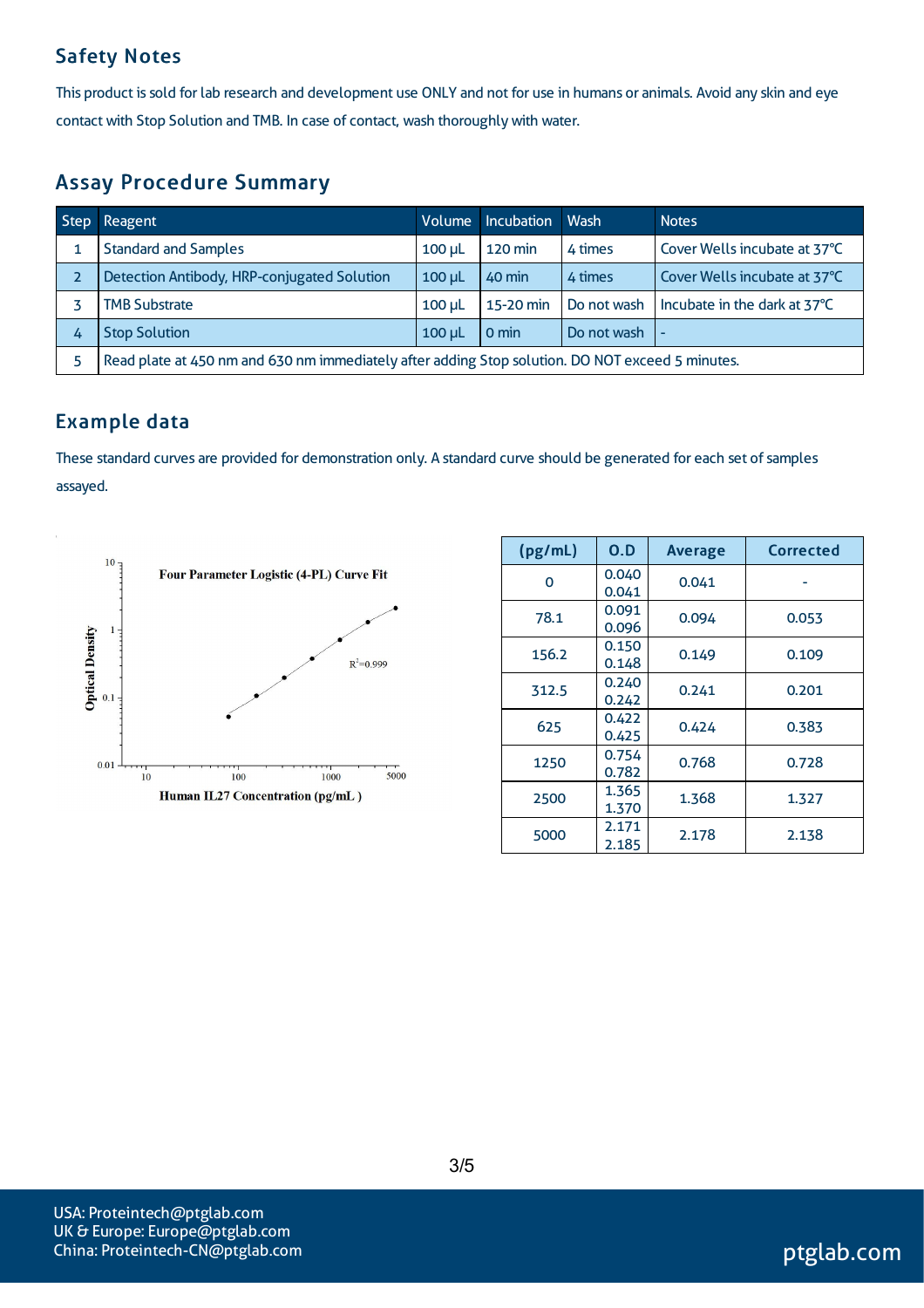# Safety Notes

This product is sold for lab research and development use ONLY and not for use in humans or animals. Avoid any skin and eye contact with Stop Solution and TMB. In case of contact, wash thoroughly with water.

# Assay Procedure Summary

| <b>Step</b> | Reagent                                                                                          | Volume      | Incubation     | <b>Wash</b> | <b>Notes</b>                 |  |
|-------------|--------------------------------------------------------------------------------------------------|-------------|----------------|-------------|------------------------------|--|
|             | <b>Standard and Samples</b>                                                                      | $100 \mu$   | <b>120 min</b> | 4 times     | Cover Wells incubate at 37°C |  |
|             | Detection Antibody, HRP-conjugated Solution                                                      | $100$ $\mu$ | 40 min         | 4 times     | Cover Wells incubate at 37°C |  |
|             | <b>TMB Substrate</b>                                                                             | $100$ $\mu$ | 15-20 min      | Do not wash | Incubate in the dark at 37°C |  |
| 4           | <b>Stop Solution</b>                                                                             | $100$ $\mu$ | 0 min          | Do not wash |                              |  |
|             | Read plate at 450 nm and 630 nm immediately after adding Stop solution. DO NOT exceed 5 minutes. |             |                |             |                              |  |

# Example data

These standard curves are provided for demonstration only. A standard curve should be generated for each set of samples assayed.



| (pg/mL) | 0.D            | <b>Average</b> | <b>Corrected</b> |
|---------|----------------|----------------|------------------|
| 0       | 0.040<br>0.041 | 0.041          |                  |
| 78.1    | 0.091<br>0.096 | 0.094          | 0.053            |
| 156.2   | 0.150<br>0.148 | 0.149          | 0.109            |
| 312.5   | 0.240<br>0.242 | 0.241          | 0.201            |
| 625     | 0.422<br>0.425 | 0.424          | 0.383            |
| 1250    | 0.754<br>0.782 | 0.768          | 0.728            |
| 2500    | 1.365<br>1.370 | 1.368          | 1.327            |
| 5000    | 2.171<br>2.185 | 2.178          | 2.138            |

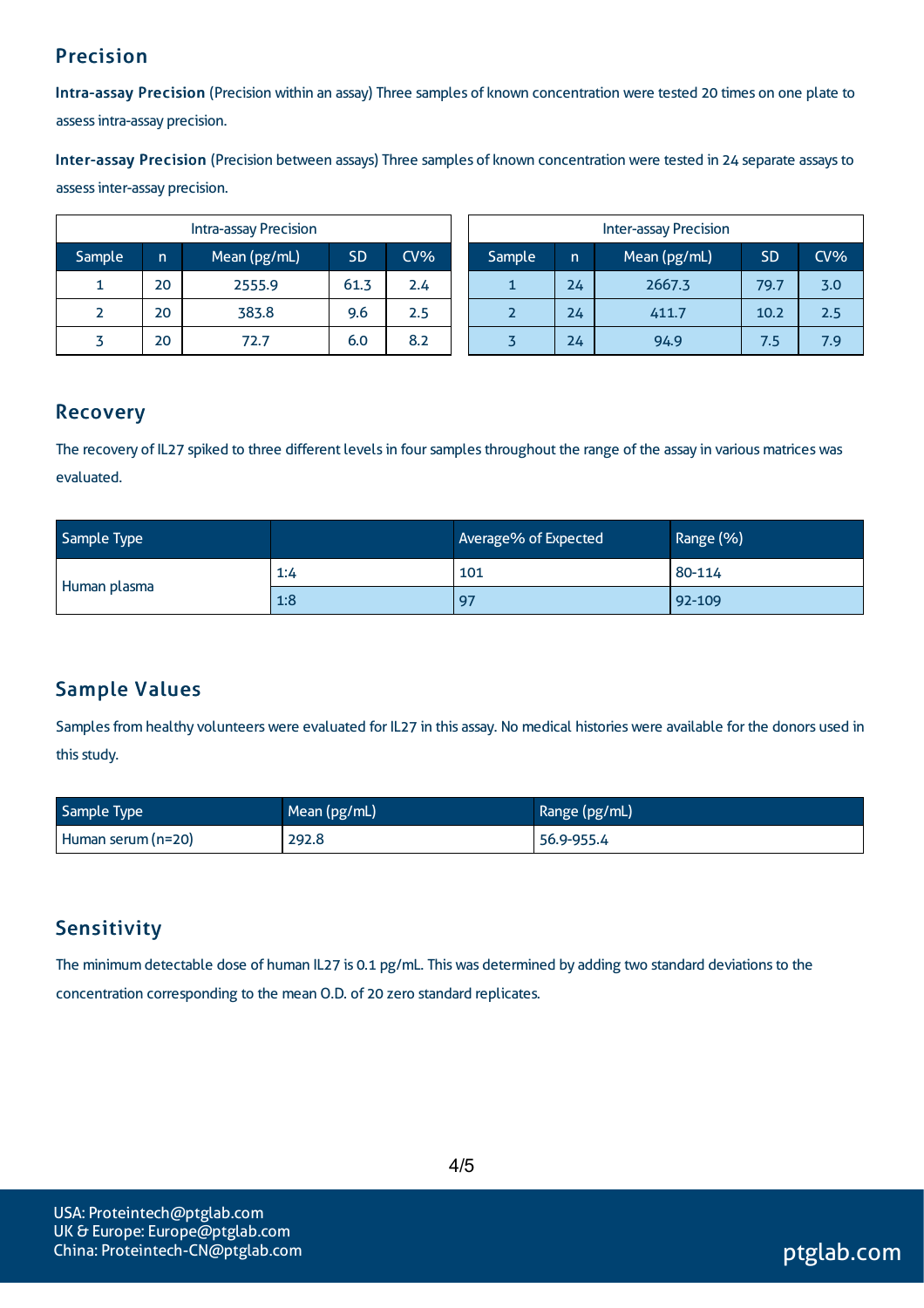# Precision

Intra-assay Precision (Precision within an assay) Three samples of known concentration were tested 20 times on one plate to assessintra-assay precision.

Inter-assay Precision (Precision between assays) Three samples of known concentration were tested in 24 separate assaysto assessinter-assay precision.

|        |    | <b>Intra-assay Precision</b> |           |               | <b>Inter-assay Precision</b> |        |    |              |           |     |
|--------|----|------------------------------|-----------|---------------|------------------------------|--------|----|--------------|-----------|-----|
| Sample | n  | Mean (pg/mL)                 | <b>SD</b> | $CV\%$        |                              | Sample | n  | Mean (pg/mL) | <b>SD</b> | CV% |
| 1      | 20 | 2555.9                       | 61.3      | $2.4^{\circ}$ |                              | 1      | 24 | 2667.3       | 79.7      | 3.0 |
|        | 20 | 383.8                        | 9.6       | 2.5           |                              |        | 24 | 411.7        | 10.2      | 2.5 |
|        | 20 | 72.7                         | 6.0       | 8.2           |                              |        | 24 | 94.9         | 7.5       | 7.9 |

### Recovery

The recovery of IL27 spiked to three different levels in four samples throughout the range of the assay in various matrices was evaluated.

| Sample Type  |     | Average% of Expected | Range (%) |
|--------------|-----|----------------------|-----------|
|              | 1:4 | 101                  | 80-114    |
| Human plasma | 1:8 | 97                   | $ 92-109$ |

# Sample Values

Samples from healthy volunteers were evaluated for IL27 in this assay. No medical histories were available for the donors used in this study.

| Sample Type        | Mean (pg/mL) | Range (pg/mL) |
|--------------------|--------------|---------------|
| Human serum (n=20) | 292.8        | 56.9-955.4    |

# **Sensitivity**

The minimum detectable dose of human IL27 is 0.1 pg/mL. This was determined by adding two standard deviations to the concentration corresponding to the mean O.D. of 20 zero standard replicates.